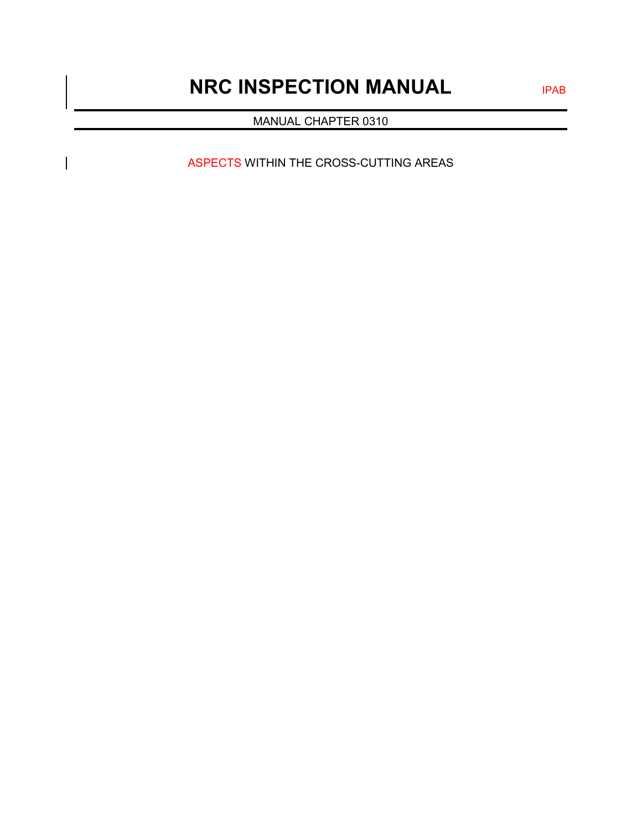# **NRC INSPECTION MANUAL** IPAB

MANUAL CHAPTER 0310

ASPECTS WITHIN THE CROSS-CUTTING AREAS

 $\overline{\phantom{a}}$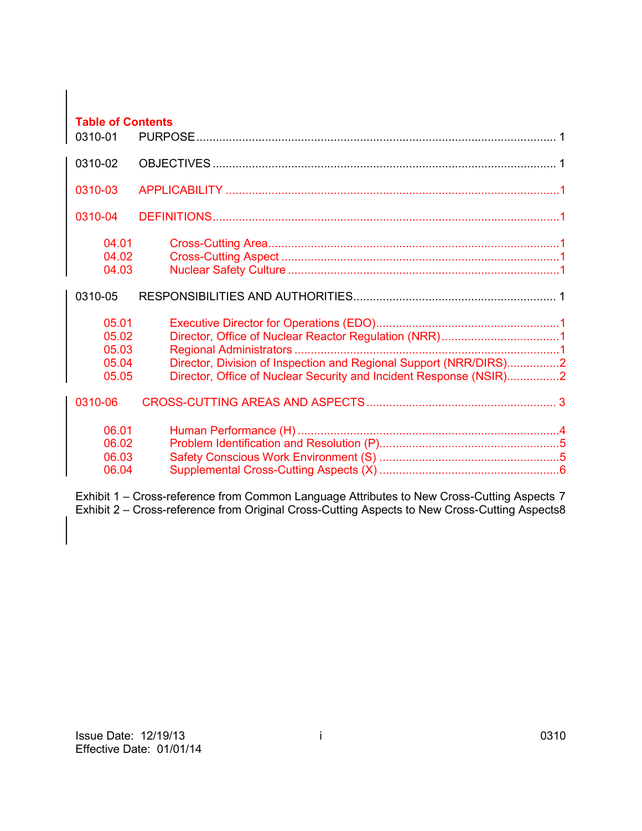| <b>Table of Contents</b><br>0310-01       |                                                                                                                                         |  |
|-------------------------------------------|-----------------------------------------------------------------------------------------------------------------------------------------|--|
| 0310-02                                   |                                                                                                                                         |  |
| 0310-03                                   |                                                                                                                                         |  |
| 0310-04                                   |                                                                                                                                         |  |
| 04.01<br>04.02<br>04.03                   |                                                                                                                                         |  |
| 0310-05                                   |                                                                                                                                         |  |
| 05.01<br>05.02<br>05.03<br>05.04<br>05.05 | Director, Division of Inspection and Regional Support (NRR/DIRS)2<br>Director, Office of Nuclear Security and Incident Response (NSIR)2 |  |
| 0310-06                                   |                                                                                                                                         |  |
| 06.01<br>06.02<br>06.03<br>06.04          |                                                                                                                                         |  |

Exhibit 1 – [Cross-reference from Common Language Attributes to New Cross-Cutting](#page-8-0) Aspects 7 Exhibit 2 – [Cross-reference from Original Cross-Cutting Aspects to New Cross-Cutting Aspects8](#page-9-0)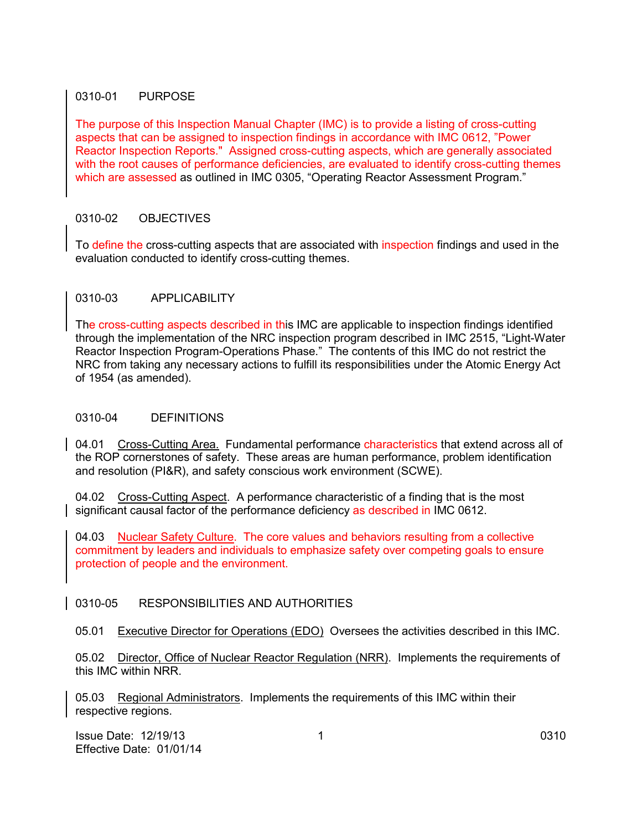#### <span id="page-2-0"></span>0310-01 PURPOSE

The purpose of this Inspection Manual Chapter (IMC) is to provide a listing of cross-cutting aspects that can be assigned to inspection findings in accordance with IMC 0612, "Power Reactor Inspection Reports." Assigned cross-cutting aspects, which are generally associated with the root causes of performance deficiencies, are evaluated to identify cross-cutting themes which are assessed as outlined in IMC 0305, "Operating Reactor Assessment Program."

#### <span id="page-2-1"></span>0310-02 OBJECTIVES

To define the cross-cutting aspects that are associated with inspection findings and used in the evaluation conducted to identify cross-cutting themes.

#### 0310-03 APPLICABILITY

The cross-cutting aspects described in this IMC are applicable to inspection findings identified through the implementation of the NRC inspection program described in IMC 2515, "Light-Water Reactor Inspection Program-Operations Phase." The contents of this IMC do not restrict the NRC from taking any necessary actions to fulfill its responsibilities under the Atomic Energy Act of 1954 (as amended).

#### 0310-04 DEFINITIONS

04.01 Cross-Cutting Area. Fundamental performance characteristics that extend across all of the ROP cornerstones of safety. These areas are human performance, problem identification and resolution (PI&R), and safety conscious work environment (SCWE).

04.02 Cross-Cutting Aspect. A performance characteristic of a finding that is the most significant causal factor of the performance deficiency as described in IMC 0612.

04.03 Nuclear Safety Culture. The core values and behaviors resulting from a collective commitment by leaders and individuals to emphasize safety over competing goals to ensure protection of people and the environment.

#### <span id="page-2-2"></span>0310-05 RESPONSIBILITIES AND AUTHORITIES

05.01 Executive Director for Operations (EDO) Oversees the activities described in this IMC.

05.02 Director, Office of Nuclear Reactor Regulation (NRR). Implements the requirements of this IMC within NRR.

05.03 Regional Administrators. Implements the requirements of this IMC within their respective regions.

**Issue Date: 12/19/13** 1 0310 Effective Date: 01/01/14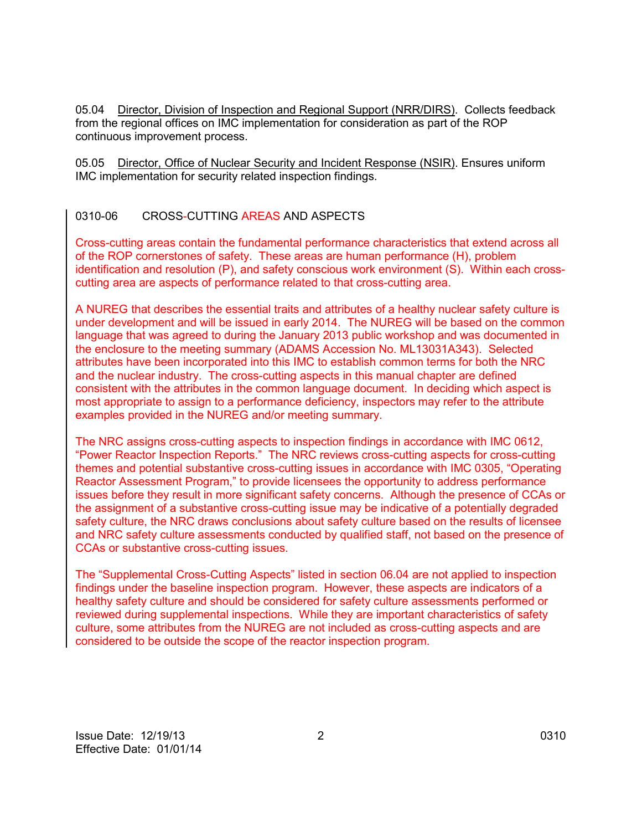05.04 Director, Division of Inspection and Regional Support (NRR/DIRS). Collects feedback from the regional offices on IMC implementation for consideration as part of the ROP continuous improvement process.

05.05 Director, Office of Nuclear Security and Incident Response (NSIR). Ensures uniform IMC implementation for security related inspection findings.

#### <span id="page-3-0"></span>0310-06 CROSS-CUTTING AREAS AND ASPECTS

Cross-cutting areas contain the fundamental performance characteristics that extend across all of the ROP cornerstones of safety. These areas are human performance (H), problem identification and resolution (P), and safety conscious work environment (S). Within each crosscutting area are aspects of performance related to that cross-cutting area.

A NUREG that describes the essential traits and attributes of a healthy nuclear safety culture is under development and will be issued in early 2014. The NUREG will be based on the common language that was agreed to during the January 2013 public workshop and was documented in the enclosure to the meeting summary (ADAMS Accession No. ML13031A343). Selected attributes have been incorporated into this IMC to establish common terms for both the NRC and the nuclear industry. The cross-cutting aspects in this manual chapter are defined consistent with the attributes in the common language document. In deciding which aspect is most appropriate to assign to a performance deficiency, inspectors may refer to the attribute examples provided in the NUREG and/or meeting summary.

The NRC assigns cross-cutting aspects to inspection findings in accordance with IMC 0612, "Power Reactor Inspection Reports." The NRC reviews cross-cutting aspects for cross-cutting themes and potential substantive cross-cutting issues in accordance with IMC 0305, "Operating Reactor Assessment Program," to provide licensees the opportunity to address performance issues before they result in more significant safety concerns. Although the presence of CCAs or the assignment of a substantive cross-cutting issue may be indicative of a potentially degraded safety culture, the NRC draws conclusions about safety culture based on the results of licensee and NRC safety culture assessments conducted by qualified staff, not based on the presence of CCAs or substantive cross-cutting issues.

The "Supplemental Cross-Cutting Aspects" listed in section 06.04 are not applied to inspection findings under the baseline inspection program. However, these aspects are indicators of a healthy safety culture and should be considered for safety culture assessments performed or reviewed during supplemental inspections. While they are important characteristics of safety culture, some attributes from the NUREG are not included as cross-cutting aspects and are considered to be outside the scope of the reactor inspection program.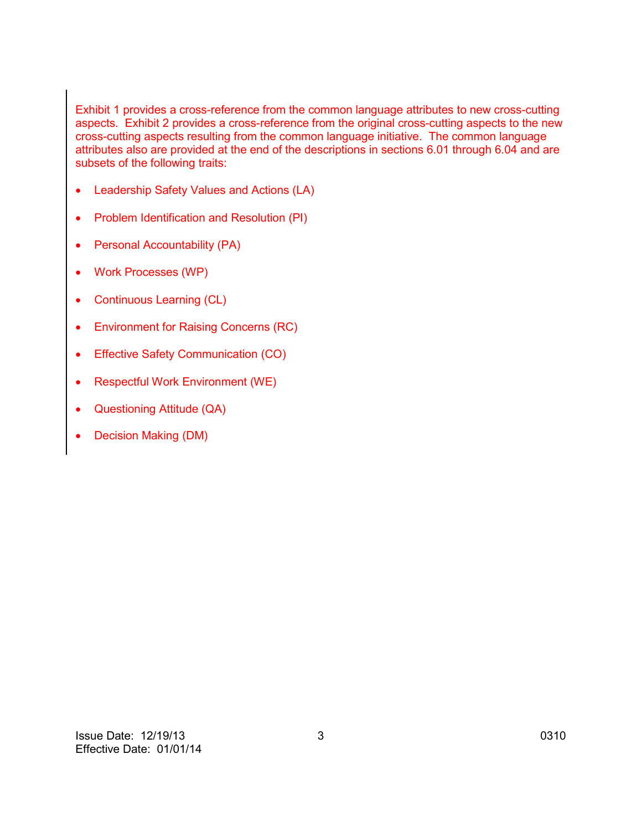Exhibit 1 provides a cross-reference from the common language attributes to new cross-cutting aspects. Exhibit 2 provides a cross-reference from the original cross-cutting aspects to the new cross-cutting aspects resulting from the common language initiative. The common language attributes also are provided at the end of the descriptions in sections 6.01 through 6.04 and are subsets of the following traits:

- Leadership Safety Values and Actions (LA)
- Problem Identification and Resolution (PI)
- Personal Accountability (PA)
- Work Processes (WP)
- Continuous Learning (CL)
- Environment for Raising Concerns (RC)
- Effective Safety Communication (CO)
- Respectful Work Environment (WE)
- Questioning Attitude (QA)
- Decision Making (DM)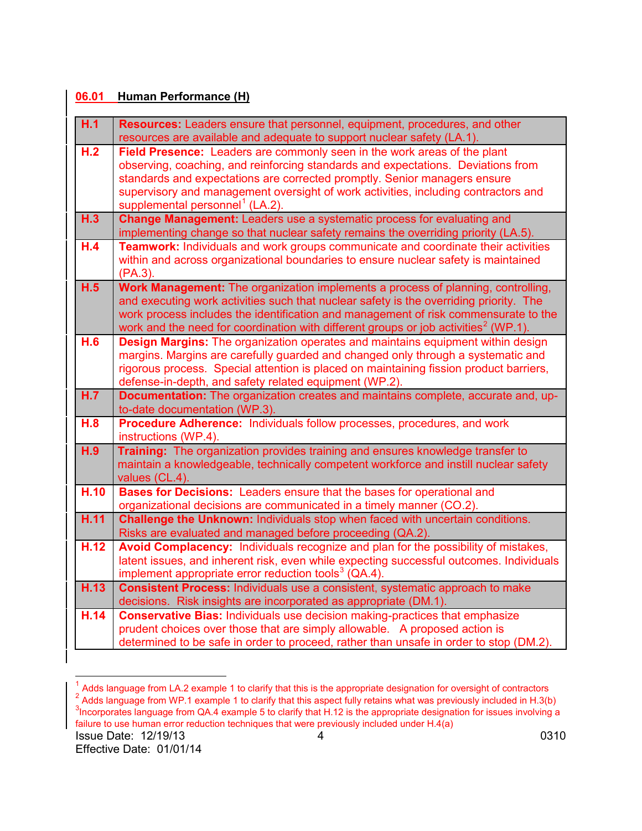## **06.01 Human Performance (H)**

| H.1  | Resources: Leaders ensure that personnel, equipment, procedures, and other<br>resources are available and adequate to support nuclear safety (LA.1).                                                                                                                                                                                                                           |
|------|--------------------------------------------------------------------------------------------------------------------------------------------------------------------------------------------------------------------------------------------------------------------------------------------------------------------------------------------------------------------------------|
| H.2  | Field Presence: Leaders are commonly seen in the work areas of the plant<br>observing, coaching, and reinforcing standards and expectations. Deviations from<br>standards and expectations are corrected promptly. Senior managers ensure<br>supervisory and management oversight of work activities, including contractors and<br>supplemental personnel <sup>1</sup> (LA.2). |
| H.3  | Change Management: Leaders use a systematic process for evaluating and<br>implementing change so that nuclear safety remains the overriding priority (LA.5).                                                                                                                                                                                                                   |
| H.4  | Teamwork: Individuals and work groups communicate and coordinate their activities<br>within and across organizational boundaries to ensure nuclear safety is maintained<br>$(PA.3)$ .                                                                                                                                                                                          |
| H.5  | Work Management: The organization implements a process of planning, controlling,<br>and executing work activities such that nuclear safety is the overriding priority. The<br>work process includes the identification and management of risk commensurate to the<br>work and the need for coordination with different groups or job activities <sup>2</sup> (WP.1).           |
| H.6  | <b>Design Margins:</b> The organization operates and maintains equipment within design<br>margins. Margins are carefully guarded and changed only through a systematic and<br>rigorous process. Special attention is placed on maintaining fission product barriers,<br>defense-in-depth, and safety related equipment (WP.2).                                                 |
| H.7  | Documentation: The organization creates and maintains complete, accurate and, up-<br>to-date documentation (WP.3).                                                                                                                                                                                                                                                             |
| H.8  | Procedure Adherence: Individuals follow processes, procedures, and work<br>instructions (WP.4).                                                                                                                                                                                                                                                                                |
| H.9  | Training: The organization provides training and ensures knowledge transfer to<br>maintain a knowledgeable, technically competent workforce and instill nuclear safety<br>values (CL.4).                                                                                                                                                                                       |
| H.10 | Bases for Decisions: Leaders ensure that the bases for operational and<br>organizational decisions are communicated in a timely manner (CO.2).                                                                                                                                                                                                                                 |
| H.11 | Challenge the Unknown: Individuals stop when faced with uncertain conditions.<br>Risks are evaluated and managed before proceeding (QA.2).                                                                                                                                                                                                                                     |
| H.12 | Avoid Complacency: Individuals recognize and plan for the possibility of mistakes,<br>latent issues, and inherent risk, even while expecting successful outcomes. Individuals<br>implement appropriate error reduction tools <sup>3</sup> ( $QA.4$ ).                                                                                                                          |
| H.13 | <b>Consistent Process:</b> Individuals use a consistent, systematic approach to make<br>decisions. Risk insights are incorporated as appropriate (DM.1).                                                                                                                                                                                                                       |
| H.14 | <b>Conservative Bias: Individuals use decision making-practices that emphasize</b><br>prudent choices over those that are simply allowable. A proposed action is<br>determined to be safe in order to proceed, rather than unsafe in order to stop (DM.2).                                                                                                                     |

<span id="page-5-2"></span><span id="page-5-1"></span><span id="page-5-0"></span>**Issue Date: 12/19/13** 4 0310 <sup>1</sup> Adds language from LA.2 example 1 to clarify that this is the appropriate designation for oversight of contractors  $\frac{2}{3}$  Adds language from WP.1 example 1 to clarify that this aspect fully retains what was previou Incorporates language from QA.4 example 5 to clarify that H.12 is the appropriate designation for issues involving a failure to use human error reduction techniques that were previously included under H.4(a)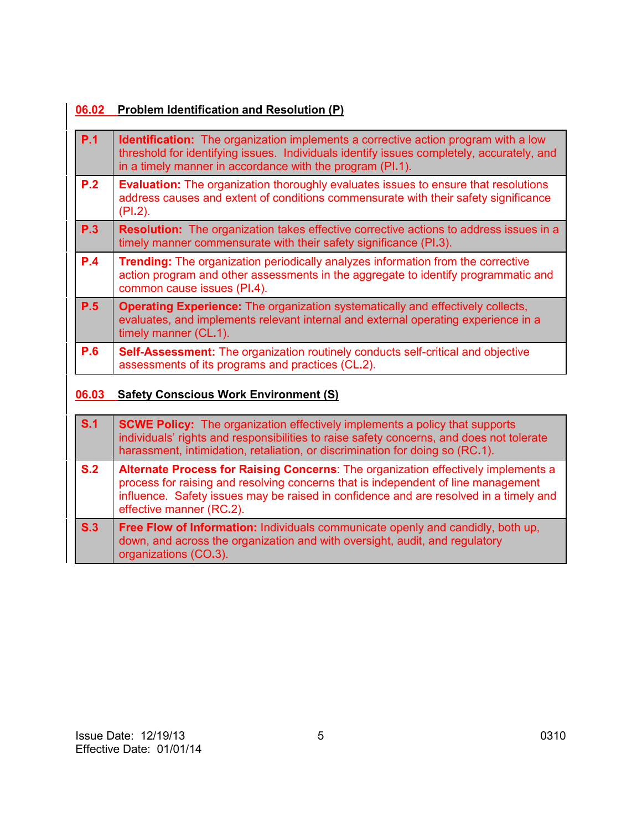# **06.02 Problem Identification and Resolution (P)**

| P.1        | <b>Identification:</b> The organization implements a corrective action program with a low<br>threshold for identifying issues. Individuals identify issues completely, accurately, and<br>in a timely manner in accordance with the program (PI.1). |
|------------|-----------------------------------------------------------------------------------------------------------------------------------------------------------------------------------------------------------------------------------------------------|
| P.2        | <b>Evaluation:</b> The organization thoroughly evaluates issues to ensure that resolutions<br>address causes and extent of conditions commensurate with their safety significance<br>$(PI.2)$ .                                                     |
| P.3        | <b>Resolution:</b> The organization takes effective corrective actions to address issues in a<br>timely manner commensurate with their safety significance (PI.3).                                                                                  |
| <b>P.4</b> | <b>Trending:</b> The organization periodically analyzes information from the corrective<br>action program and other assessments in the aggregate to identify programmatic and<br>common cause issues (PI.4).                                        |
| P.5        | <b>Operating Experience:</b> The organization systematically and effectively collects,<br>evaluates, and implements relevant internal and external operating experience in a<br>timely manner (CL.1).                                               |
| <b>P.6</b> | <b>Self-Assessment:</b> The organization routinely conducts self-critical and objective<br>assessments of its programs and practices (CL.2).                                                                                                        |

# **06.03 Safety Conscious Work Environment (S)**

| S.1 | <b>SCWE Policy:</b> The organization effectively implements a policy that supports<br>individuals' rights and responsibilities to raise safety concerns, and does not tolerate<br>harassment, intimidation, retaliation, or discrimination for doing so (RC.1).                             |  |  |
|-----|---------------------------------------------------------------------------------------------------------------------------------------------------------------------------------------------------------------------------------------------------------------------------------------------|--|--|
| S.2 | Alternate Process for Raising Concerns: The organization effectively implements a<br>process for raising and resolving concerns that is independent of line management<br>influence. Safety issues may be raised in confidence and are resolved in a timely and<br>effective manner (RC.2). |  |  |
| S.3 | Free Flow of Information: Individuals communicate openly and candidly, both up,<br>down, and across the organization and with oversight, audit, and regulatory<br>organizations (CO.3).                                                                                                     |  |  |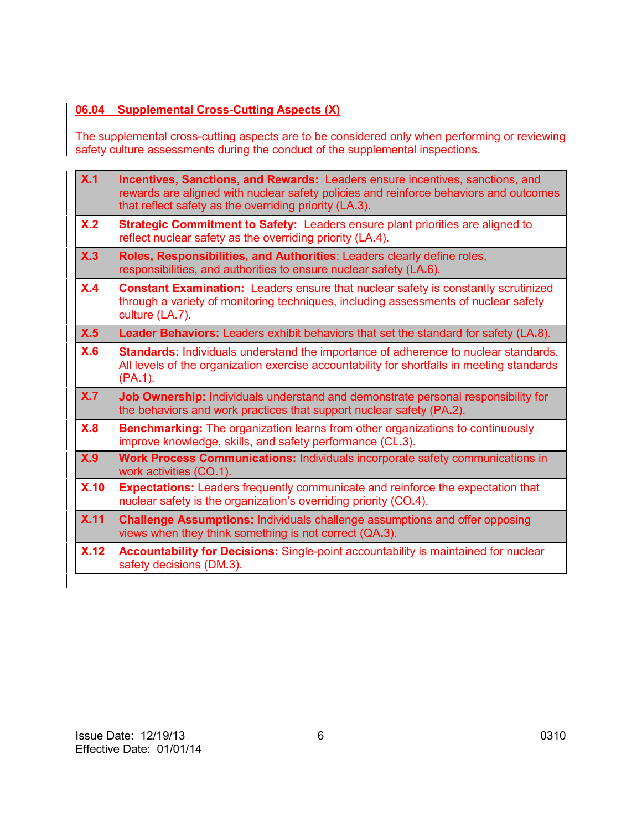### **06.04 Supplemental Cross-Cutting Aspects (X)**

The supplemental cross-cutting aspects are to be considered only when performing or reviewing safety culture assessments during the conduct of the supplemental inspections.

| X.1  | <b>Incentives, Sanctions, and Rewards:</b> Leaders ensure incentives, sanctions, and<br>rewards are aligned with nuclear safety policies and reinforce behaviors and outcomes<br>that reflect safety as the overriding priority (LA.3). |  |  |  |
|------|-----------------------------------------------------------------------------------------------------------------------------------------------------------------------------------------------------------------------------------------|--|--|--|
| X.2  | Strategic Commitment to Safety: Leaders ensure plant priorities are aligned to<br>reflect nuclear safety as the overriding priority (LA.4).                                                                                             |  |  |  |
| X.3  | Roles, Responsibilities, and Authorities: Leaders clearly define roles,<br>responsibilities, and authorities to ensure nuclear safety (LA.6).                                                                                           |  |  |  |
| X.4  | <b>Constant Examination:</b> Leaders ensure that nuclear safety is constantly scrutinized<br>through a variety of monitoring techniques, including assessments of nuclear safety<br>culture (LA.7).                                     |  |  |  |
| X.5  | <b>Leader Behaviors:</b> Leaders exhibit behaviors that set the standard for safety (LA.8).                                                                                                                                             |  |  |  |
| X.6  | <b>Standards:</b> Individuals understand the importance of adherence to nuclear standards.<br>All levels of the organization exercise accountability for shortfalls in meeting standards<br>$(PA.1)$ .                                  |  |  |  |
| X.7  | Job Ownership: Individuals understand and demonstrate personal responsibility for<br>the behaviors and work practices that support nuclear safety (PA.2).                                                                               |  |  |  |
| X.8  | <b>Benchmarking:</b> The organization learns from other organizations to continuously<br>improve knowledge, skills, and safety performance (CL.3).                                                                                      |  |  |  |
| X.9  | Work Process Communications: Individuals incorporate safety communications in<br>work activities (CO.1).                                                                                                                                |  |  |  |
| X.10 | <b>Expectations:</b> Leaders frequently communicate and reinforce the expectation that<br>nuclear safety is the organization's overriding priority (CO.4).                                                                              |  |  |  |
| X.11 | <b>Challenge Assumptions:</b> Individuals challenge assumptions and offer opposing<br>views when they think something is not correct (QA.3).                                                                                            |  |  |  |
| X.12 | <b>Accountability for Decisions:</b> Single-point accountability is maintained for nuclear<br>safety decisions (DM.3).                                                                                                                  |  |  |  |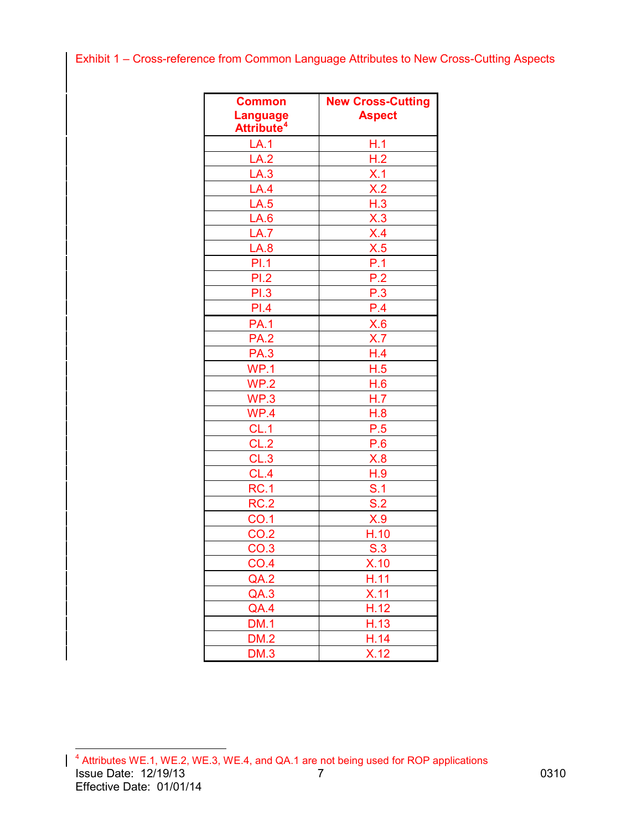# <span id="page-8-0"></span>Exhibit 1 – Cross-reference from Common Language Attributes to New Cross-Cutting Aspects

| <b>Common</b><br><b>Language</b><br>Attribute <sup>4</sup> | <b>New Cross-Cutting</b><br><b>Aspect</b> |  |
|------------------------------------------------------------|-------------------------------------------|--|
| LA.1                                                       | H.1                                       |  |
| LA.2                                                       | H.2                                       |  |
| LA.3                                                       |                                           |  |
| LA.4                                                       | $\frac{\mathsf{X}.1}{\mathsf{X}.2}$       |  |
| LA.5                                                       | H.3                                       |  |
| LA.6                                                       | X.3                                       |  |
| LA.7                                                       | X.4                                       |  |
| LA.8                                                       | X.5                                       |  |
| PI.1                                                       | P.1                                       |  |
| PI.2                                                       | P.2                                       |  |
| PI.3                                                       | P.3                                       |  |
| PI.4                                                       | P.4                                       |  |
| PA.1                                                       | X.6                                       |  |
| <b>PA.2</b>                                                | X.7                                       |  |
| <b>PA.3</b>                                                | H.4                                       |  |
| WP.1                                                       | H.5                                       |  |
| WP.2                                                       | H.6                                       |  |
| WP.3                                                       | H.7                                       |  |
| WP.4                                                       | H.8                                       |  |
| $CL.\overline{1}$                                          | P.5                                       |  |
| CL.2                                                       | P.6                                       |  |
| CL.3                                                       | X.8                                       |  |
| CL.4                                                       | H.9                                       |  |
| RC.1                                                       | S.1                                       |  |
| RC.2                                                       | S.2                                       |  |
| CO.1                                                       | X.9                                       |  |
| CO.2                                                       | H.10                                      |  |
| CO.3                                                       | S.3                                       |  |
| $\underline{CO}$ .4                                        | <u>X.10</u>                               |  |
| QA.2                                                       | H.11                                      |  |
| QA.3                                                       | X.11                                      |  |
| QA.4                                                       | H.12                                      |  |
| DM.1                                                       | $\overline{H.}13$                         |  |
| <b>DM.2</b>                                                | H.14                                      |  |
| <b>DM.3</b>                                                | X.12                                      |  |

<span id="page-8-1"></span>Issue Date: 12/19/13 7 0310 Effective Date: 01/01/14 4 Attributes WE.1, WE.2, WE.3, WE.4, and QA.1 are not being used for ROP applications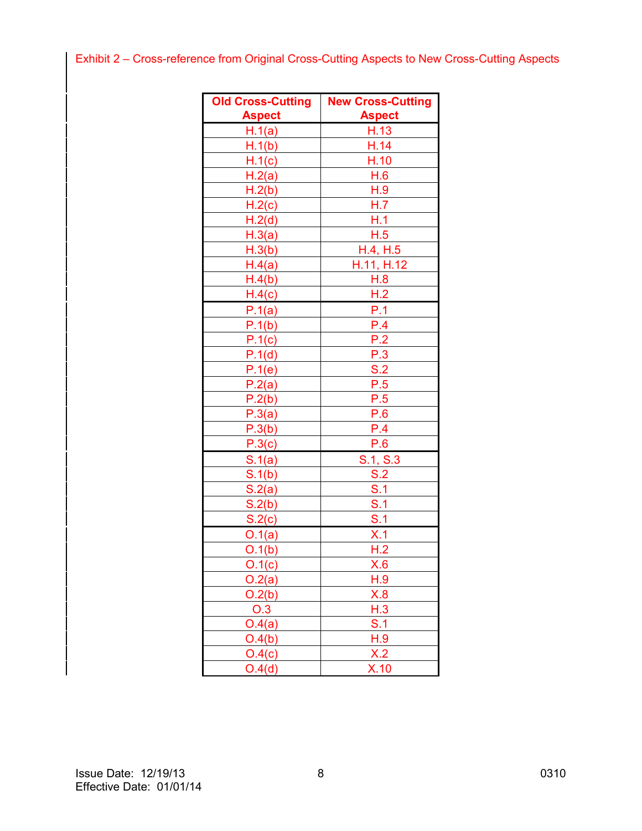# <span id="page-9-0"></span>Exhibit 2 – Cross-reference from Original Cross-Cutting Aspects to New Cross-Cutting Aspects

| <b>Old Cross-Cutting</b> | <b>New Cross-Cutting</b> |  |
|--------------------------|--------------------------|--|
| <b>Aspect</b>            | <b>Aspect</b>            |  |
| H.1(a)                   | H.13                     |  |
| H.1(b)                   | H.14                     |  |
| H.1(c)                   | H.10                     |  |
| H.2(a)                   | H.6                      |  |
| H.2(b)                   | H.9                      |  |
| H.2(c)                   | H.7                      |  |
| H.2(d)                   | H.1                      |  |
| H.3(a)                   | H.5                      |  |
| H.3(b)                   | H.4, H.5                 |  |
| H.4(a)                   | H.11, H.12               |  |
| H.4(b)                   | H.8                      |  |
| H.4(c)                   | H.2                      |  |
| P.1(a)                   | P.1                      |  |
| P.1(b)                   | P.4                      |  |
| P.1(c)                   | P.2                      |  |
| P.1(d)                   | P.3                      |  |
| P.1(e)                   | S.2                      |  |
| P.2(a)                   | P.5                      |  |
| P.2(b)                   | P.5                      |  |
| P.3(a)                   | P.6                      |  |
| P.3(b)                   | P.4                      |  |
| P.3(c)                   | P.6                      |  |
| S.1(a)                   | S.1, S.3                 |  |
| S.1(b)                   | S.2                      |  |
| S.2(a)                   | S.1                      |  |
| S.2(b)                   | S.1                      |  |
| S.2(c)                   | S.1                      |  |
| O.1(a)                   | X.1                      |  |
| O.1(b)                   | H.2                      |  |
| 0.1(c)                   | X.6                      |  |
| O.2(a)                   | H.9                      |  |
| O.2(b)                   | X.8                      |  |
| O.3                      | H.3                      |  |
| O.4(a)                   | <u>S.1</u>               |  |
| O.4(b)                   | H.9                      |  |
| O.4(c)                   | X.2                      |  |
| O.4(d)                   | X.10                     |  |